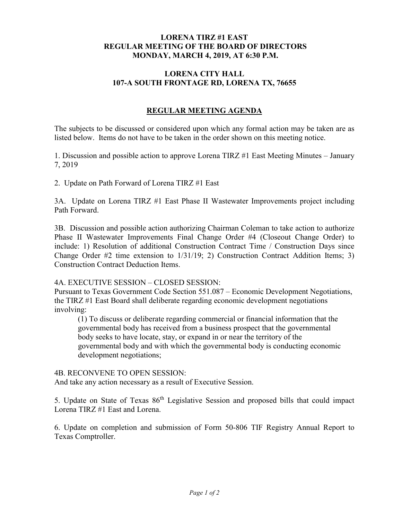# **LORENA TIRZ #1 EAST REGULAR MEETING OF THE BOARD OF DIRECTORS MONDAY, MARCH 4, 2019, AT 6:30 P.M.**

### **LORENA CITY HALL 107-A SOUTH FRONTAGE RD, LORENA TX, 76655**

# **REGULAR MEETING AGENDA**

The subjects to be discussed or considered upon which any formal action may be taken are as listed below. Items do not have to be taken in the order shown on this meeting notice.

1. Discussion and possible action to approve Lorena TIRZ #1 East Meeting Minutes – January 7, 2019

2. Update on Path Forward of Lorena TIRZ #1 East

3A. Update on Lorena TIRZ #1 East Phase II Wastewater Improvements project including Path Forward.

3B. Discussion and possible action authorizing Chairman Coleman to take action to authorize Phase II Wastewater Improvements Final Change Order #4 (Closeout Change Order) to include: 1) Resolution of additional Construction Contract Time / Construction Days since Change Order #2 time extension to 1/31/19; 2) Construction Contract Addition Items; 3) Construction Contract Deduction Items.

### 4A. EXECUTIVE SESSION – CLOSED SESSION:

Pursuant to Texas Government Code Section 551.087 – Economic Development Negotiations, the TIRZ #1 East Board shall deliberate regarding economic development negotiations involving:

(1) To discuss or deliberate regarding commercial or financial information that the governmental body has received from a business prospect that the governmental body seeks to have locate, stay, or expand in or near the territory of the governmental body and with which the governmental body is conducting economic development negotiations;

### 4B. RECONVENE TO OPEN SESSION:

And take any action necessary as a result of Executive Session.

5. Update on State of Texas 86th Legislative Session and proposed bills that could impact Lorena TIRZ #1 East and Lorena.

6. Update on completion and submission of Form 50-806 TIF Registry Annual Report to Texas Comptroller.